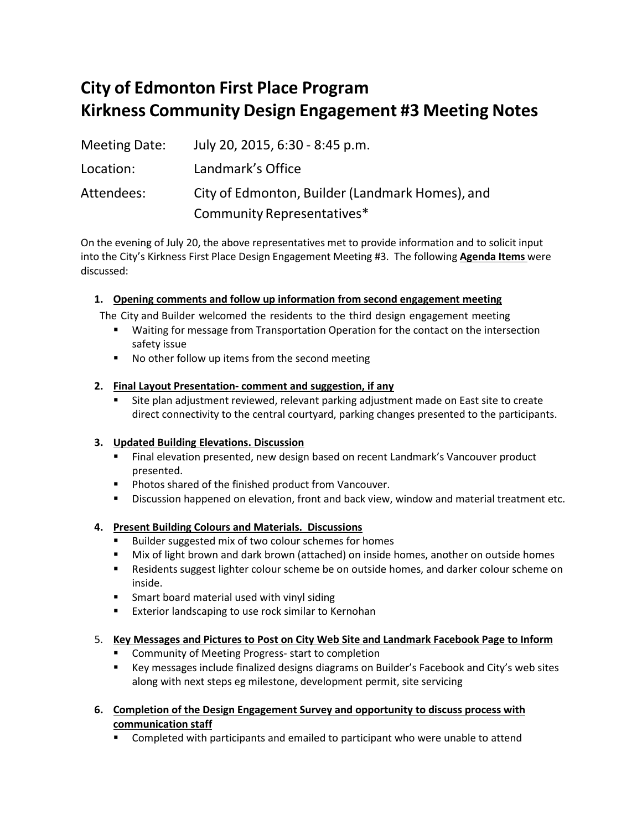# **City of Edmonton First Place Program Kirkness Community Design Engagement #3 Meeting Notes**

| <b>Meeting Date:</b> | July 20, 2015, 6:30 - 8:45 p.m.                 |
|----------------------|-------------------------------------------------|
| Location:            | Landmark's Office                               |
| Attendees:           | City of Edmonton, Builder (Landmark Homes), and |
|                      | Community Representatives*                      |

On the evening of July 20, the above representatives met to provide information and to solicit input into the City's Kirkness First Place Design Engagement Meeting #3. The following **Agenda Items** were discussed:

# **1. Opening comments and follow up information from second engagement meeting**

The City and Builder welcomed the residents to the third design engagement meeting

- Waiting for message from Transportation Operation for the contact on the intersection safety issue
- No other follow up items from the second meeting

# **2. Final Layout Presentation- comment and suggestion, if any**

 Site plan adjustment reviewed, relevant parking adjustment made on East site to create direct connectivity to the central courtyard, parking changes presented to the participants.

### **3. Updated Building Elevations. Discussion**

- Final elevation presented, new design based on recent Landmark's Vancouver product presented.
- **Photos shared of the finished product from Vancouver.**
- **Discussion happened on elevation, front and back view, window and material treatment etc.**

# **4. Present Building Colours and Materials. Discussions**

- **Builder suggested mix of two colour schemes for homes**
- Mix of light brown and dark brown (attached) on inside homes, another on outside homes
- **Residents suggest lighter colour scheme be on outside homes, and darker colour scheme on** inside.
- **F** Smart board material used with vinyl siding
- **EXTER FRIGHT IN EXTERNAL EXTERNAL EXTERNAL EXTENDING** EXTERNAL EXTERNAL EXTERNAL EXTERNAL EXTERNAL EXTERNAL EXTERNAL EXTERNAL EXTERNAL EXTERNAL EXTERNAL EXTERNAL EXTERNAL EXTERNAL EXTERNAL EXTERNAL EXTERNAL EXTERNAL EXTER

### 5. **Key Messages and Pictures to Post on City Web Site and Landmark Facebook Page to Inform**

- **Community of Meeting Progress- start to completion**
- Key messages include finalized designs diagrams on Builder's Facebook and City's web sites along with next steps eg milestone, development permit, site servicing
- **6. Completion of the Design Engagement Survey and opportunity to discuss process with communication staff**
	- **Completed with participants and emailed to participant who were unable to attend**